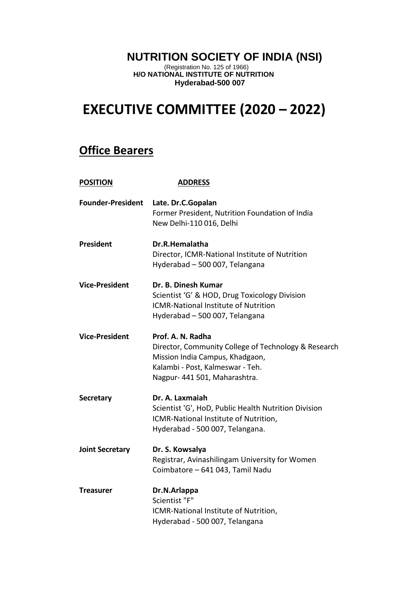## **NUTRITION SOCIETY OF INDIA (NSI)**

(Registration No. 125 of 1966) **H/O NATIONAL INSTITUTE OF NUTRITION Hyderabad-500 007**

## **EXECUTIVE COMMITTEE (2020 – 2022)**

## **Office Bearers**

| <b>POSITION</b>          | <b>ADDRESS</b>                                                                                                                                                                    |
|--------------------------|-----------------------------------------------------------------------------------------------------------------------------------------------------------------------------------|
| <b>Founder-President</b> | Late. Dr.C.Gopalan<br>Former President, Nutrition Foundation of India<br>New Delhi-110 016, Delhi                                                                                 |
| <b>President</b>         | Dr.R.Hemalatha<br>Director, ICMR-National Institute of Nutrition<br>Hyderabad - 500 007, Telangana                                                                                |
| <b>Vice-President</b>    | Dr. B. Dinesh Kumar<br>Scientist 'G' & HOD, Drug Toxicology Division<br><b>ICMR-National Institute of Nutrition</b><br>Hyderabad - 500 007, Telangana                             |
| <b>Vice-President</b>    | Prof. A. N. Radha<br>Director, Community College of Technology & Research<br>Mission India Campus, Khadgaon,<br>Kalambi - Post, Kalmeswar - Teh.<br>Nagpur- 441 501, Maharashtra. |
| <b>Secretary</b>         | Dr. A. Laxmaiah<br>Scientist 'G', HoD, Public Health Nutrition Division<br>ICMR-National Institute of Nutrition,<br>Hyderabad - 500 007, Telangana.                               |
| <b>Joint Secretary</b>   | Dr. S. Kowsalya<br>Registrar, Avinashilingam University for Women<br>Coimbatore - 641 043, Tamil Nadu                                                                             |
| <b>Treasurer</b>         | Dr.N.Arlappa<br>Scientist "F"<br>ICMR-National Institute of Nutrition,<br>Hyderabad - 500 007, Telangana                                                                          |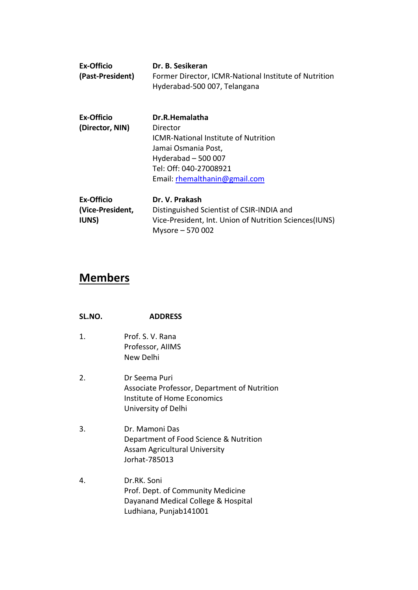| <b>Ex-Officio</b><br>(Past-President) | Dr. B. Sesikeran<br>Former Director, ICMR-National Institute of Nutrition<br>Hyderabad-500 007, Telangana |
|---------------------------------------|-----------------------------------------------------------------------------------------------------------|
| Ex-Officio                            | Dr.R.Hemalatha                                                                                            |
| (Director, NIN)                       | Director                                                                                                  |
|                                       | <b>ICMR-National Institute of Nutrition</b>                                                               |
|                                       | Jamai Osmania Post,                                                                                       |
|                                       | Hyderabad $-500007$                                                                                       |
|                                       | Tel: Off: 040-27008921                                                                                    |
|                                       | Email: rhemalthanin@gmail.com                                                                             |
| Ex-Officio                            | Dr. V. Prakash                                                                                            |
| (Vice-President,                      | Distinguished Scientist of CSIR-INDIA and                                                                 |
| <b>IUNS</b> )                         | Vice-President, Int. Union of Nutrition Sciences(IUNS)<br>Mysore - 570 002                                |

## **Members**

| <b>ADDRESS</b> |
|----------------|
|                |

- 1. Prof. S. V. Rana Professor, AIIMS New Delhi
- 2. Dr Seema Puri Associate Professor, Department of Nutrition Institute of Home Economics University of Delhi
- 3. Dr. Mamoni Das Department of Food Science & Nutrition Assam Agricultural University Jorhat-785013
- 4. Dr.RK. Soni Prof. Dept. of Community Medicine Dayanand Medical College & Hospital Ludhiana, Punjab141001